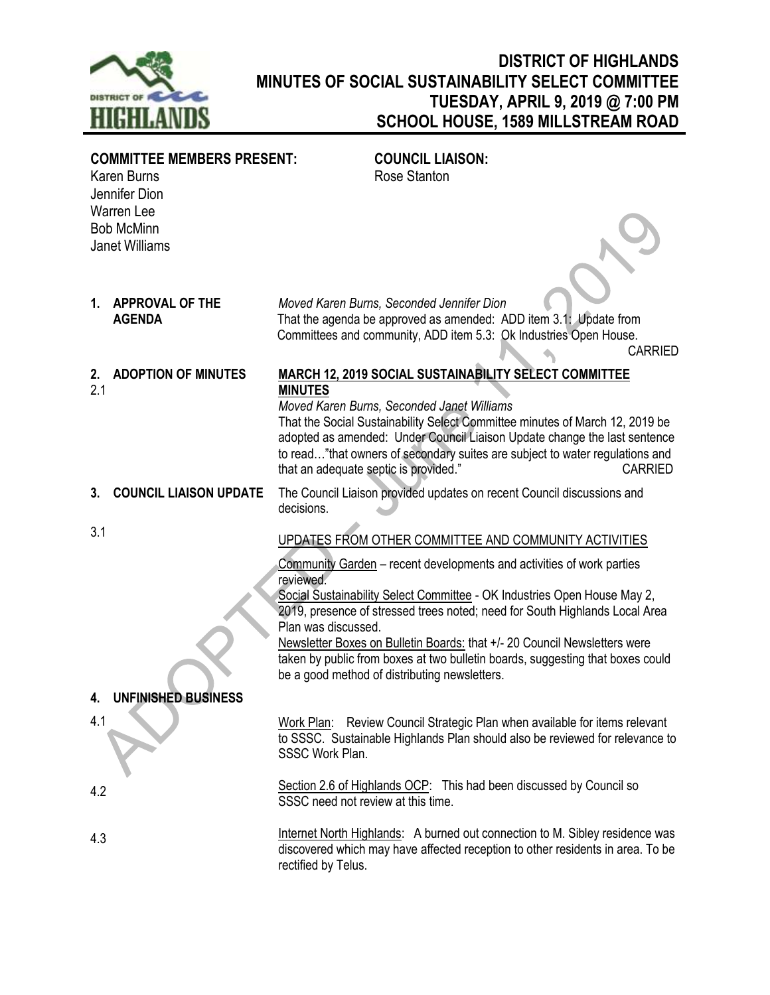

## **DISTRICT OF HIGHLANDS MINUTES OF SOCIAL SUSTAINABILITY SELECT COMMITTEE TUESDAY, APRIL 9, 2019 @ 7:00 PM SCHOOL HOUSE, 1589 MILLSTREAM ROAD**

| <b>COMMITTEE MEMBERS PRESENT:</b><br>Karen Burns<br>Jennifer Dion |                                         | <b>COUNCIL LIAISON:</b><br>Rose Stanton                                                                                                                                                                                                                                                                                                                                                                                                                                              |
|-------------------------------------------------------------------|-----------------------------------------|--------------------------------------------------------------------------------------------------------------------------------------------------------------------------------------------------------------------------------------------------------------------------------------------------------------------------------------------------------------------------------------------------------------------------------------------------------------------------------------|
| <b>Warren Lee</b><br><b>Bob McMinn</b><br><b>Janet Williams</b>   |                                         |                                                                                                                                                                                                                                                                                                                                                                                                                                                                                      |
| 1.                                                                | <b>APPROVAL OF THE</b><br><b>AGENDA</b> | Moved Karen Burns, Seconded Jennifer Dion<br>That the agenda be approved as amended: ADD item 3.1: Update from<br>Committees and community, ADD item 5.3: Ok Industries Open House.<br><b>CARRIED</b>                                                                                                                                                                                                                                                                                |
| 2.<br>2.1                                                         | <b>ADOPTION OF MINUTES</b>              | <b>MARCH 12, 2019 SOCIAL SUSTAINABILITY SELECT COMMITTEE</b><br><b>MINUTES</b><br>Moved Karen Burns, Seconded Janet Williams<br>That the Social Sustainability Select Committee minutes of March 12, 2019 be<br>adopted as amended: Under Council Liaison Update change the last sentence<br>to read"that owners of secondary suites are subject to water regulations and<br>that an adequate septic is provided."<br><b>CARRIED</b>                                                 |
| 3.                                                                | <b>COUNCIL LIAISON UPDATE</b>           | The Council Liaison provided updates on recent Council discussions and<br>decisions.                                                                                                                                                                                                                                                                                                                                                                                                 |
| 3.1                                                               |                                         | UPDATES FROM OTHER COMMITTEE AND COMMUNITY ACTIVITIES                                                                                                                                                                                                                                                                                                                                                                                                                                |
|                                                                   |                                         | Community Garden – recent developments and activities of work parties<br>reviewed.<br>Social Sustainability Select Committee - OK Industries Open House May 2,<br>2019, presence of stressed trees noted; need for South Highlands Local Area<br>Plan was discussed.<br>Newsletter Boxes on Bulletin Boards: that +/- 20 Council Newsletters were<br>taken by public from boxes at two bulletin boards, suggesting that boxes could<br>be a good method of distributing newsletters. |
| 4.                                                                | UNFINISHED BUSINESS                     |                                                                                                                                                                                                                                                                                                                                                                                                                                                                                      |
| 4.1                                                               |                                         | Work Plan: Review Council Strategic Plan when available for items relevant<br>to SSSC. Sustainable Highlands Plan should also be reviewed for relevance to<br>SSSC Work Plan.                                                                                                                                                                                                                                                                                                        |
| 4.2                                                               |                                         | Section 2.6 of Highlands OCP: This had been discussed by Council so<br>SSSC need not review at this time.                                                                                                                                                                                                                                                                                                                                                                            |
| 4.3                                                               |                                         | Internet North Highlands: A burned out connection to M. Sibley residence was<br>discovered which may have affected reception to other residents in area. To be<br>rectified by Telus.                                                                                                                                                                                                                                                                                                |